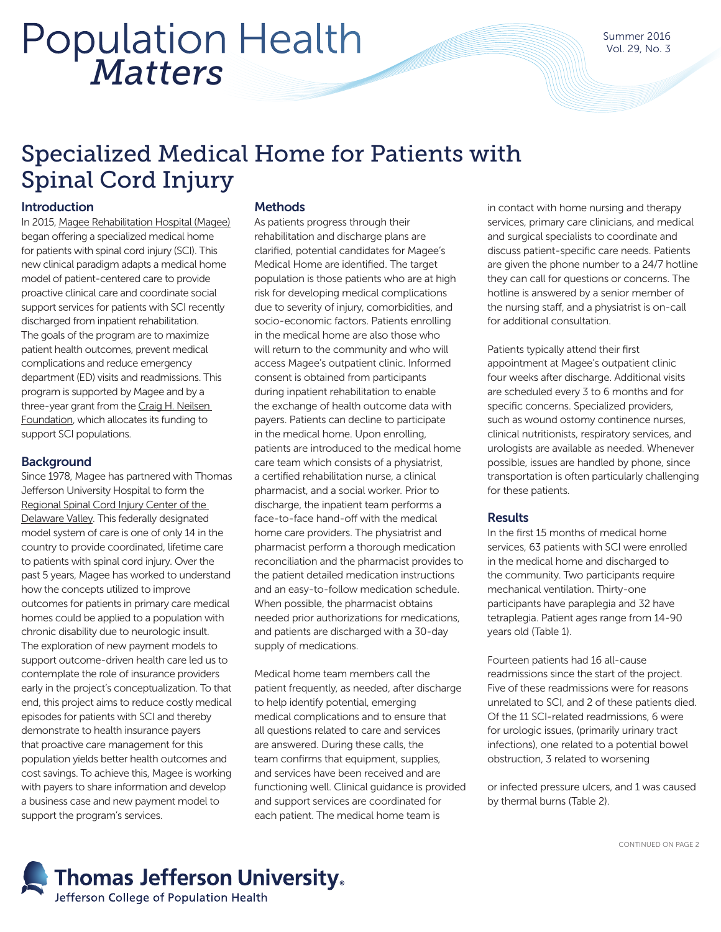# *Matters* Population Health

# Specialized Medical Home for Patients with Spinal Cord Injury

# Introduction

In 2015, [Magee Rehabilitation Hospital \(Magee\)](http://www.mageerehab.org/) began offering a specialized medical home for patients with spinal cord injury (SCI). This new clinical paradigm adapts a medical home model of patient-centered care to provide proactive clinical care and coordinate social support services for patients with SCI recently discharged from inpatient rehabilitation. The goals of the program are to maximize patient health outcomes, prevent medical complications and reduce emergency department (ED) visits and readmissions. This program is supported by Magee and by a three-year grant from the Craig H. Neilsen [Foundation,](http://chnfoundation.org/) which allocates its funding to support SCI populations.

### **Background**

Since 1978, Magee has partnered with Thomas Jefferson University Hospital to form the [Regional Spinal Cord Injury Center of the](http://www.spinalcordcenter.org/)  [Delaware Valley.](http://www.spinalcordcenter.org/) This federally designated model system of care is one of only 14 in the country to provide coordinated, lifetime care to patients with spinal cord injury. Over the past 5 years, Magee has worked to understand how the concepts utilized to improve outcomes for patients in primary care medical homes could be applied to a population with chronic disability due to neurologic insult. The exploration of new payment models to support outcome-driven health care led us to contemplate the role of insurance providers early in the project's conceptualization. To that end, this project aims to reduce costly medical episodes for patients with SCI and thereby demonstrate to health insurance payers that proactive care management for this population yields better health outcomes and cost savings. To achieve this, Magee is working with payers to share information and develop a business case and new payment model to support the program's services.

### **Methods**

As patients progress through their rehabilitation and discharge plans are clarified, potential candidates for Magee's Medical Home are identified. The target population is those patients who are at high risk for developing medical complications due to severity of injury, comorbidities, and socio-economic factors. Patients enrolling in the medical home are also those who will return to the community and who will access Magee's outpatient clinic. Informed consent is obtained from participants during inpatient rehabilitation to enable the exchange of health outcome data with payers. Patients can decline to participate in the medical home. Upon enrolling, patients are introduced to the medical home care team which consists of a physiatrist, a certified rehabilitation nurse, a clinical pharmacist, and a social worker. Prior to discharge, the inpatient team performs a face-to-face hand-off with the medical home care providers. The physiatrist and pharmacist perform a thorough medication reconciliation and the pharmacist provides to the patient detailed medication instructions and an easy-to-follow medication schedule. When possible, the pharmacist obtains needed prior authorizations for medications, and patients are discharged with a 30-day supply of medications.

Medical home team members call the patient frequently, as needed, after discharge to help identify potential, emerging medical complications and to ensure that all questions related to care and services are answered. During these calls, the team confirms that equipment, supplies, and services have been received and are functioning well. Clinical guidance is provided and support services are coordinated for each patient. The medical home team is

in contact with home nursing and therapy services, primary care clinicians, and medical and surgical specialists to coordinate and discuss patient-specific care needs. Patients are given the phone number to a 24/7 hotline they can call for questions or concerns. The hotline is answered by a senior member of the nursing staff, and a physiatrist is on-call for additional consultation.

Patients typically attend their first appointment at Magee's outpatient clinic four weeks after discharge. Additional visits are scheduled every 3 to 6 months and for specific concerns. Specialized providers, such as wound ostomy continence nurses, clinical nutritionists, respiratory services, and urologists are available as needed. Whenever possible, issues are handled by phone, since transportation is often particularly challenging for these patients.

# **Results**

In the first 15 months of medical home services, 63 patients with SCI were enrolled in the medical home and discharged to the community. Two participants require mechanical ventilation. Thirty-one participants have paraplegia and 32 have tetraplegia. Patient ages range from 14-90 years old (Table 1).

Fourteen patients had 16 all-cause readmissions since the start of the project. Five of these readmissions were for reasons unrelated to SCI, and 2 of these patients died. Of the 11 SCI-related readmissions, 6 were for urologic issues, (primarily urinary tract infections), one related to a potential bowel obstruction, 3 related to worsening

or infected pressure ulcers, and 1 was caused by thermal burns (Table 2).